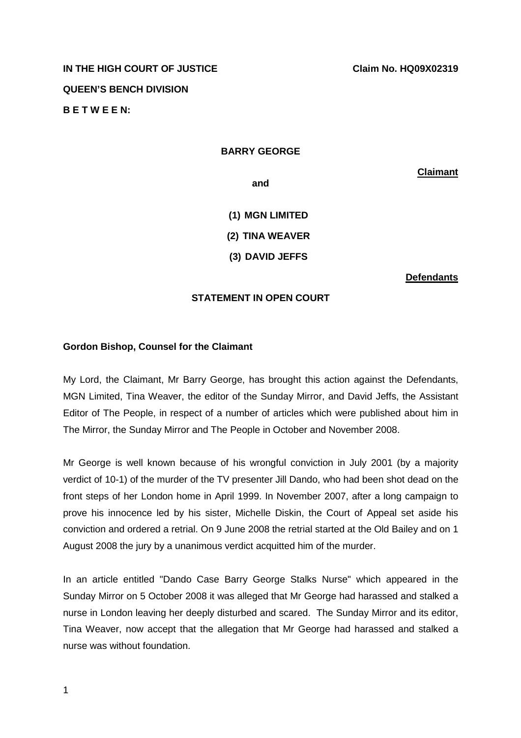# **IN THE HIGH COURT OF JUSTICE CLAIM CLAIM No. HQ09X02319 QUEEN'S BENCH DIVISION B E T W E E N:**

### **BARRY GEORGE**

**Claimant**

**and** 

**(1) MGN LIMITED (2) TINA WEAVER (3) DAVID JEFFS** 

**Defendants**

### **STATEMENT IN OPEN COURT**

#### **Gordon Bishop, Counsel for the Claimant**

My Lord, the Claimant, Mr Barry George, has brought this action against the Defendants, MGN Limited, Tina Weaver, the editor of the Sunday Mirror, and David Jeffs, the Assistant Editor of The People, in respect of a number of articles which were published about him in The Mirror, the Sunday Mirror and The People in October and November 2008.

Mr George is well known because of his wrongful conviction in July 2001 (by a majority verdict of 10-1) of the murder of the TV presenter Jill Dando, who had been shot dead on the front steps of her London home in April 1999. In November 2007, after a long campaign to prove his innocence led by his sister, Michelle Diskin, the Court of Appeal set aside his conviction and ordered a retrial. On 9 June 2008 the retrial started at the Old Bailey and on 1 August 2008 the jury by a unanimous verdict acquitted him of the murder.

In an article entitled "Dando Case Barry George Stalks Nurse" which appeared in the Sunday Mirror on 5 October 2008 it was alleged that Mr George had harassed and stalked a nurse in London leaving her deeply disturbed and scared. The Sunday Mirror and its editor, Tina Weaver, now accept that the allegation that Mr George had harassed and stalked a nurse was without foundation.